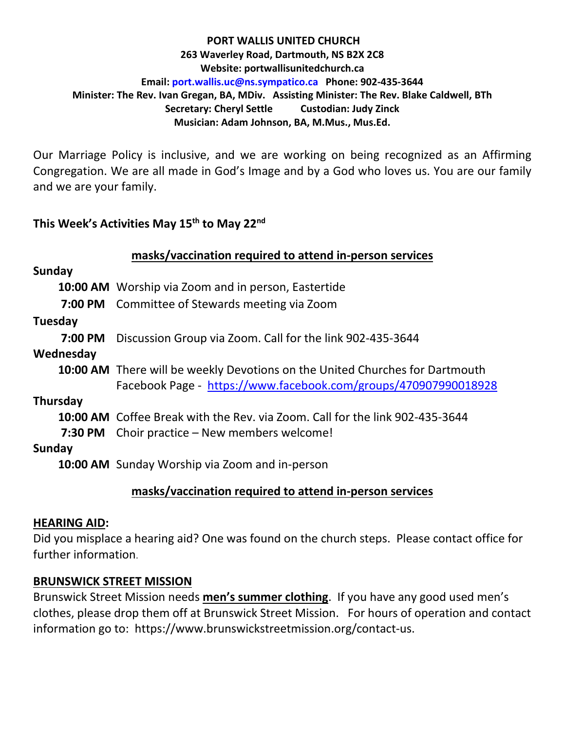#### **PORT WALLIS UNITED CHURCH 263 Waverley Road, Dartmouth, NS B2X 2C8 Website: portwallisunitedchurch.ca Email: [port.wallis.uc@ns.sympatico.ca](mailto:port.wallis.uc@ns.sympatico.ca) Phone: 902-435-3644 Minister: The Rev. Ivan Gregan, BA, MDiv. Assisting Minister: The Rev. Blake Caldwell, BTh Secretary: Cheryl Settle Custodian: Judy Zinck Musician: Adam Johnson, BA, M.Mus., Mus.Ed.**

Our Marriage Policy is inclusive, and we are working on being recognized as an Affirming Congregation. We are all made in God's Image and by a God who loves us. You are our family and we are your family.

### **This Week's Activities May 15th to May 22nd**

|           | masks/vaccination required to attend in-person services                             |
|-----------|-------------------------------------------------------------------------------------|
| Sunday    |                                                                                     |
|           | 10:00 AM Worship via Zoom and in person, Eastertide                                 |
|           | 7:00 PM Committee of Stewards meeting via Zoom                                      |
| Tuesday   |                                                                                     |
|           | <b>7:00 PM</b> Discussion Group via Zoom. Call for the link 902-435-3644            |
| Wednesday |                                                                                     |
|           | <b>10:00 AM</b> There will be weekly Devotions on the United Churches for Dartmouth |
|           | Facebook Page - https://www.facebook.com/groups/470907990018928                     |
| Thursday  |                                                                                     |
|           | 10:00 AM Coffee Break with the Rev. via Zoom. Call for the link 902-435-3644        |
|           | <b>7:30 PM</b> Choir practice – New members welcome!                                |
| Sunday    |                                                                                     |
|           | <b>10:00 AM</b> Sunday Worship via Zoom and in-person                               |
|           | .                                                                                   |

## **masks/vaccination required to attend in-person services**

### **HEARING AID:**

Did you misplace a hearing aid? One was found on the church steps. Please contact office for further information.

### **BRUNSWICK STREET MISSION**

Brunswick Street Mission needs **men's summer clothing**. If you have any good used men's clothes, please drop them off at Brunswick Street Mission. For hours of operation and contact information go to: https://www.brunswickstreetmission.org/contact-us.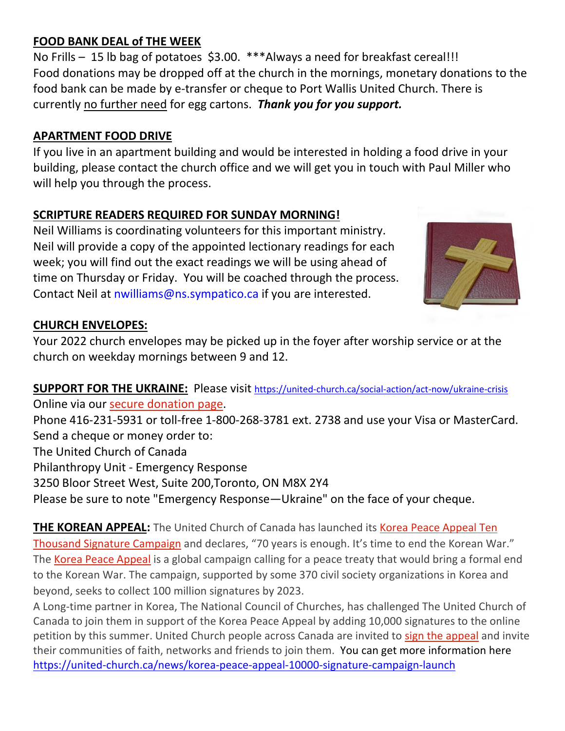## **FOOD BANK DEAL of THE WEEK**

No Frills – 15 lb bag of potatoes \$3.00. \*\*\*Always a need for breakfast cereal!!! Food donations may be dropped off at the church in the mornings, monetary donations to the food bank can be made by e-transfer or cheque to Port Wallis United Church. There is currently no further need for egg cartons. *Thank you for you support.*

## **APARTMENT FOOD DRIVE**

If you live in an apartment building and would be interested in holding a food drive in your building, please contact the church office and we will get you in touch with Paul Miller who will help you through the process.

# **SCRIPTURE READERS REQUIRED FOR SUNDAY MORNING!**

Neil Williams is coordinating volunteers for this important ministry. Neil will provide a copy of the appointed lectionary readings for each week; you will find out the exact readings we will be using ahead of time on Thursday or Friday. You will be coached through the process. Contact Neil at nwilliams@ns.sympatico.ca if you are interested.



# **CHURCH ENVELOPES:**

Your 2022 church envelopes may be picked up in the foyer after worship service or at the church on weekday mornings between 9 and 12.

**SUPPORT FOR THE UKRAINE:** Please visit<https://united-church.ca/social-action/act-now/ukraine-crisis> Online via our [secure donation page.](https://www.gifttool.com/donations/Donate?ID=1955&AID=2274&PID=6507) Phone 416-231-5931 or toll-free 1-800-268-3781 ext. 2738 and use your Visa or MasterCard. Send a cheque or money order to: The United Church of Canada Philanthropy Unit - Emergency Response

3250 Bloor Street West, Suite 200,Toronto, ON M8X 2Y4

Please be sure to note "Emergency Response—Ukraine" on the face of your cheque.

**THE KOREAN APPEAL:** The United Church of Canada has launched its Korea Peace Appeal Ten [Thousand Signature Campaign](https://united-church.ca/social-action/act-now/korea-peace-appeal) and declares, "70 years is enough. It's time to end the Korean War." The [Korea Peace Appeal](https://en.endthekoreanwar.net/) is a global campaign calling for a peace treaty that would bring a formal end to the Korean War. The campaign, supported by some 370 civil society organizations in Korea and beyond, seeks to collect 100 million signatures by 2023.

A Long-time partner in Korea, The National Council of Churches, has challenged The United Church of Canada to join them in support of the Korea Peace Appeal by adding 10,000 signatures to the online petition by this summer. United Church people across Canada are invited to [sign the appeal](https://en.endthekoreanwar.net/) and invite their communities of faith, networks and friends to join them. You can get more information here <https://united-church.ca/news/korea-peace-appeal-10000-signature-campaign-launch>